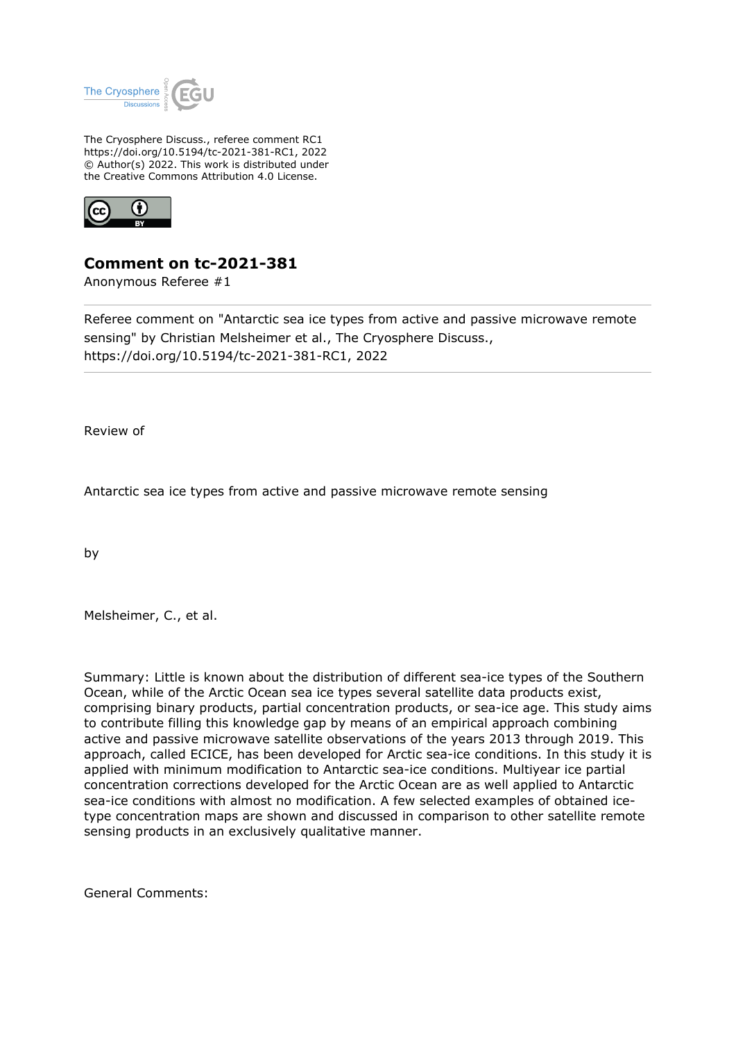

The Cryosphere Discuss., referee comment RC1 https://doi.org/10.5194/tc-2021-381-RC1, 2022 © Author(s) 2022. This work is distributed under the Creative Commons Attribution 4.0 License.



## **Comment on tc-2021-381**

Anonymous Referee #1

Referee comment on "Antarctic sea ice types from active and passive microwave remote sensing" by Christian Melsheimer et al., The Cryosphere Discuss., https://doi.org/10.5194/tc-2021-381-RC1, 2022

Review of

Antarctic sea ice types from active and passive microwave remote sensing

by

Melsheimer, C., et al.

Summary: Little is known about the distribution of different sea-ice types of the Southern Ocean, while of the Arctic Ocean sea ice types several satellite data products exist, comprising binary products, partial concentration products, or sea-ice age. This study aims to contribute filling this knowledge gap by means of an empirical approach combining active and passive microwave satellite observations of the years 2013 through 2019. This approach, called ECICE, has been developed for Arctic sea-ice conditions. In this study it is applied with minimum modification to Antarctic sea-ice conditions. Multiyear ice partial concentration corrections developed for the Arctic Ocean are as well applied to Antarctic sea-ice conditions with almost no modification. A few selected examples of obtained icetype concentration maps are shown and discussed in comparison to other satellite remote sensing products in an exclusively qualitative manner.

General Comments: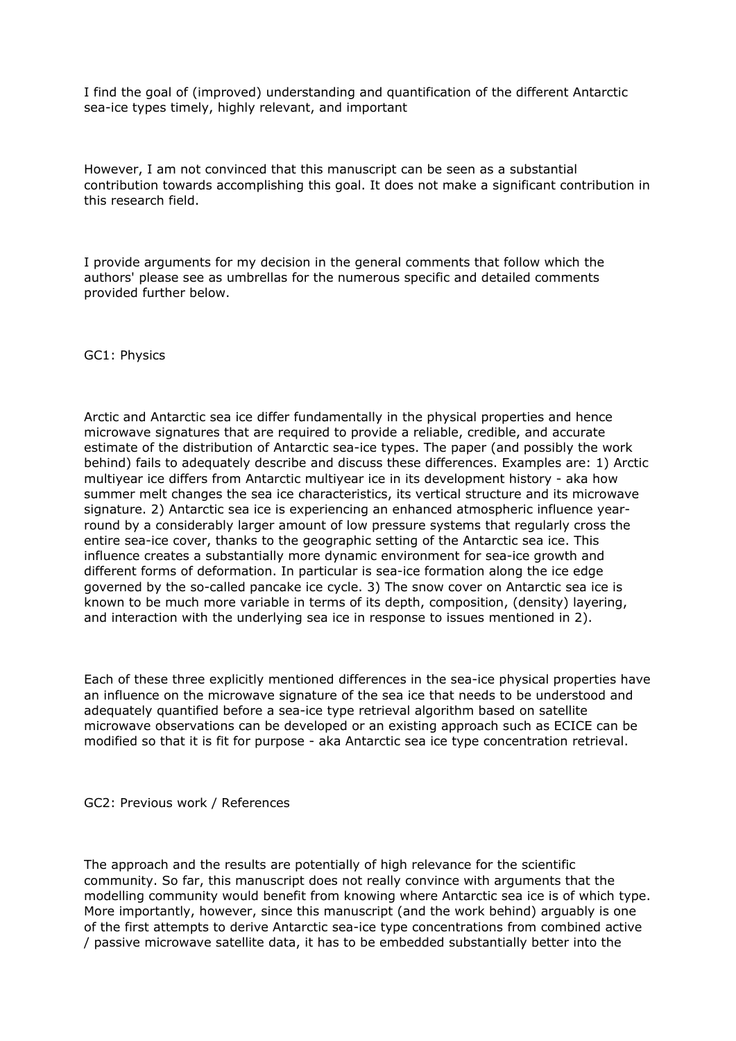I find the goal of (improved) understanding and quantification of the different Antarctic sea-ice types timely, highly relevant, and important

However, I am not convinced that this manuscript can be seen as a substantial contribution towards accomplishing this goal. It does not make a significant contribution in this research field.

I provide arguments for my decision in the general comments that follow which the authors' please see as umbrellas for the numerous specific and detailed comments provided further below.

GC1: Physics

Arctic and Antarctic sea ice differ fundamentally in the physical properties and hence microwave signatures that are required to provide a reliable, credible, and accurate estimate of the distribution of Antarctic sea-ice types. The paper (and possibly the work behind) fails to adequately describe and discuss these differences. Examples are: 1) Arctic multiyear ice differs from Antarctic multiyear ice in its development history - aka how summer melt changes the sea ice characteristics, its vertical structure and its microwave signature. 2) Antarctic sea ice is experiencing an enhanced atmospheric influence yearround by a considerably larger amount of low pressure systems that regularly cross the entire sea-ice cover, thanks to the geographic setting of the Antarctic sea ice. This influence creates a substantially more dynamic environment for sea-ice growth and different forms of deformation. In particular is sea-ice formation along the ice edge governed by the so-called pancake ice cycle. 3) The snow cover on Antarctic sea ice is known to be much more variable in terms of its depth, composition, (density) layering, and interaction with the underlying sea ice in response to issues mentioned in 2).

Each of these three explicitly mentioned differences in the sea-ice physical properties have an influence on the microwave signature of the sea ice that needs to be understood and adequately quantified before a sea-ice type retrieval algorithm based on satellite microwave observations can be developed or an existing approach such as ECICE can be modified so that it is fit for purpose - aka Antarctic sea ice type concentration retrieval.

GC2: Previous work / References

The approach and the results are potentially of high relevance for the scientific community. So far, this manuscript does not really convince with arguments that the modelling community would benefit from knowing where Antarctic sea ice is of which type. More importantly, however, since this manuscript (and the work behind) arguably is one of the first attempts to derive Antarctic sea-ice type concentrations from combined active / passive microwave satellite data, it has to be embedded substantially better into the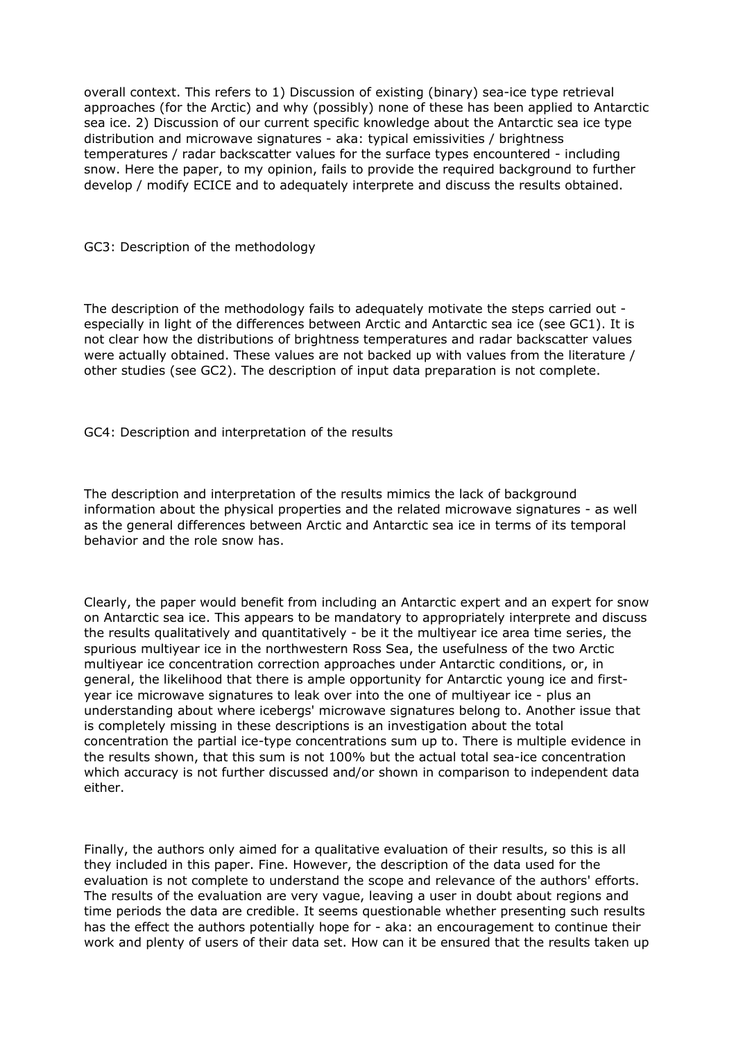overall context. This refers to 1) Discussion of existing (binary) sea-ice type retrieval approaches (for the Arctic) and why (possibly) none of these has been applied to Antarctic sea ice. 2) Discussion of our current specific knowledge about the Antarctic sea ice type distribution and microwave signatures - aka: typical emissivities / brightness temperatures / radar backscatter values for the surface types encountered - including snow. Here the paper, to my opinion, fails to provide the required background to further develop / modify ECICE and to adequately interprete and discuss the results obtained.

GC3: Description of the methodology

The description of the methodology fails to adequately motivate the steps carried out especially in light of the differences between Arctic and Antarctic sea ice (see GC1). It is not clear how the distributions of brightness temperatures and radar backscatter values were actually obtained. These values are not backed up with values from the literature / other studies (see GC2). The description of input data preparation is not complete.

GC4: Description and interpretation of the results

The description and interpretation of the results mimics the lack of background information about the physical properties and the related microwave signatures - as well as the general differences between Arctic and Antarctic sea ice in terms of its temporal behavior and the role snow has.

Clearly, the paper would benefit from including an Antarctic expert and an expert for snow on Antarctic sea ice. This appears to be mandatory to appropriately interprete and discuss the results qualitatively and quantitatively - be it the multiyear ice area time series, the spurious multiyear ice in the northwestern Ross Sea, the usefulness of the two Arctic multiyear ice concentration correction approaches under Antarctic conditions, or, in general, the likelihood that there is ample opportunity for Antarctic young ice and firstyear ice microwave signatures to leak over into the one of multiyear ice - plus an understanding about where icebergs' microwave signatures belong to. Another issue that is completely missing in these descriptions is an investigation about the total concentration the partial ice-type concentrations sum up to. There is multiple evidence in the results shown, that this sum is not 100% but the actual total sea-ice concentration which accuracy is not further discussed and/or shown in comparison to independent data either.

Finally, the authors only aimed for a qualitative evaluation of their results, so this is all they included in this paper. Fine. However, the description of the data used for the evaluation is not complete to understand the scope and relevance of the authors' efforts. The results of the evaluation are very vague, leaving a user in doubt about regions and time periods the data are credible. It seems questionable whether presenting such results has the effect the authors potentially hope for - aka: an encouragement to continue their work and plenty of users of their data set. How can it be ensured that the results taken up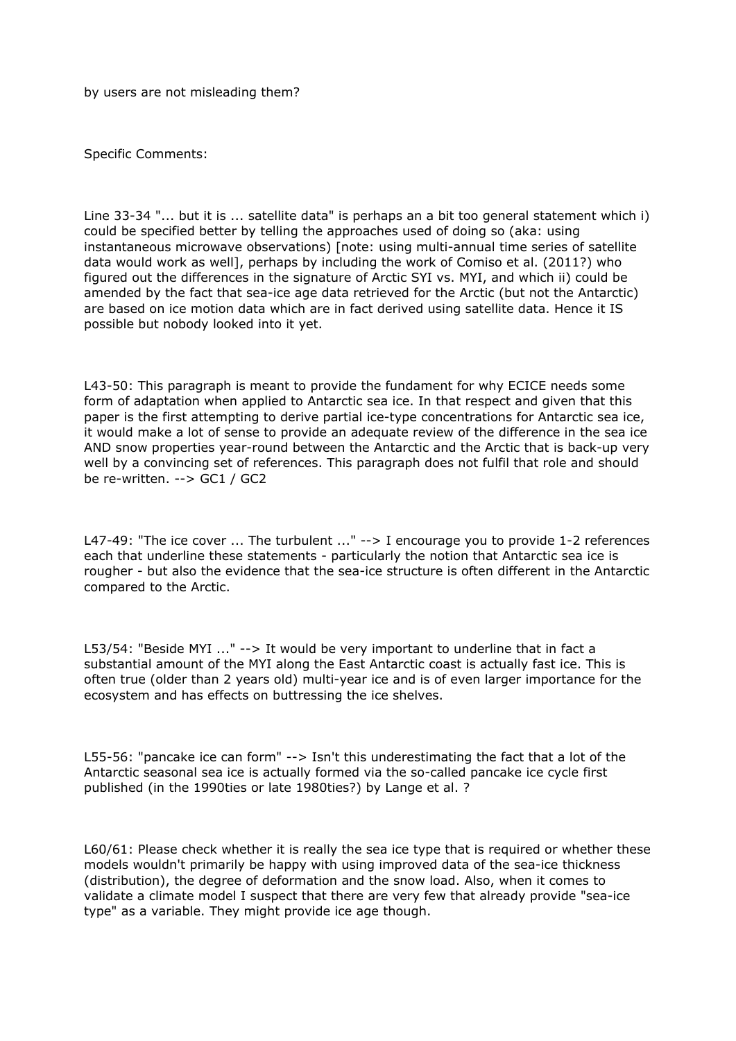by users are not misleading them?

Specific Comments:

Line 33-34 "... but it is ... satellite data" is perhaps an a bit too general statement which i) could be specified better by telling the approaches used of doing so (aka: using instantaneous microwave observations) [note: using multi-annual time series of satellite data would work as well], perhaps by including the work of Comiso et al. (2011?) who figured out the differences in the signature of Arctic SYI vs. MYI, and which ii) could be amended by the fact that sea-ice age data retrieved for the Arctic (but not the Antarctic) are based on ice motion data which are in fact derived using satellite data. Hence it IS possible but nobody looked into it yet.

L43-50: This paragraph is meant to provide the fundament for why ECICE needs some form of adaptation when applied to Antarctic sea ice. In that respect and given that this paper is the first attempting to derive partial ice-type concentrations for Antarctic sea ice, it would make a lot of sense to provide an adequate review of the difference in the sea ice AND snow properties year-round between the Antarctic and the Arctic that is back-up very well by a convincing set of references. This paragraph does not fulfil that role and should be re-written. --> GC1 / GC2

L47-49: "The ice cover ... The turbulent ..." --> I encourage you to provide 1-2 references each that underline these statements - particularly the notion that Antarctic sea ice is rougher - but also the evidence that the sea-ice structure is often different in the Antarctic compared to the Arctic.

L53/54: "Beside MYI ..." --> It would be very important to underline that in fact a substantial amount of the MYI along the East Antarctic coast is actually fast ice. This is often true (older than 2 years old) multi-year ice and is of even larger importance for the ecosystem and has effects on buttressing the ice shelves.

L55-56: "pancake ice can form" --> Isn't this underestimating the fact that a lot of the Antarctic seasonal sea ice is actually formed via the so-called pancake ice cycle first published (in the 1990ties or late 1980ties?) by Lange et al. ?

L60/61: Please check whether it is really the sea ice type that is required or whether these models wouldn't primarily be happy with using improved data of the sea-ice thickness (distribution), the degree of deformation and the snow load. Also, when it comes to validate a climate model I suspect that there are very few that already provide "sea-ice type" as a variable. They might provide ice age though.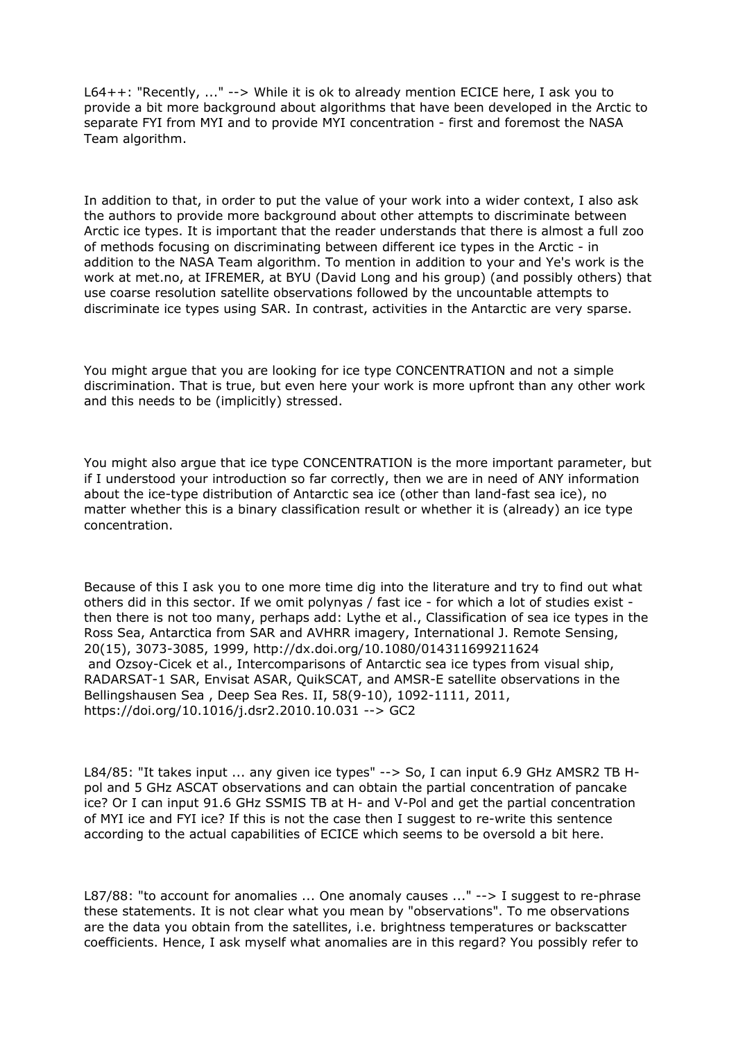L64++: "Recently, ..." --> While it is ok to already mention ECICE here, I ask you to provide a bit more background about algorithms that have been developed in the Arctic to separate FYI from MYI and to provide MYI concentration - first and foremost the NASA Team algorithm.

In addition to that, in order to put the value of your work into a wider context, I also ask the authors to provide more background about other attempts to discriminate between Arctic ice types. It is important that the reader understands that there is almost a full zoo of methods focusing on discriminating between different ice types in the Arctic - in addition to the NASA Team algorithm. To mention in addition to your and Ye's work is the work at met.no, at IFREMER, at BYU (David Long and his group) (and possibly others) that use coarse resolution satellite observations followed by the uncountable attempts to discriminate ice types using SAR. In contrast, activities in the Antarctic are very sparse.

You might argue that you are looking for ice type CONCENTRATION and not a simple discrimination. That is true, but even here your work is more upfront than any other work and this needs to be (implicitly) stressed.

You might also argue that ice type CONCENTRATION is the more important parameter, but if I understood your introduction so far correctly, then we are in need of ANY information about the ice-type distribution of Antarctic sea ice (other than land-fast sea ice), no matter whether this is a binary classification result or whether it is (already) an ice type concentration.

Because of this I ask you to one more time dig into the literature and try to find out what others did in this sector. If we omit polynyas / fast ice - for which a lot of studies exist then there is not too many, perhaps add: Lythe et al., Classification of sea ice types in the Ross Sea, Antarctica from SAR and AVHRR imagery, International J. Remote Sensing, 20(15), 3073-3085, 1999, http://dx.doi.org/10.1080/014311699211624 and Ozsoy-Cicek et al., Intercomparisons of Antarctic sea ice types from visual ship, RADARSAT-1 SAR, Envisat ASAR, QuikSCAT, and AMSR-E satellite observations in the Bellingshausen Sea , Deep Sea Res. II, 58(9-10), 1092-1111, 2011, https://doi.org/10.1016/j.dsr2.2010.10.031 --> GC2

L84/85: "It takes input ... any given ice types" --> So, I can input 6.9 GHz AMSR2 TB Hpol and 5 GHz ASCAT observations and can obtain the partial concentration of pancake ice? Or I can input 91.6 GHz SSMIS TB at H- and V-Pol and get the partial concentration of MYI ice and FYI ice? If this is not the case then I suggest to re-write this sentence according to the actual capabilities of ECICE which seems to be oversold a bit here.

L87/88: "to account for anomalies ... One anomaly causes ..." --> I suggest to re-phrase these statements. It is not clear what you mean by "observations". To me observations are the data you obtain from the satellites, i.e. brightness temperatures or backscatter coefficients. Hence, I ask myself what anomalies are in this regard? You possibly refer to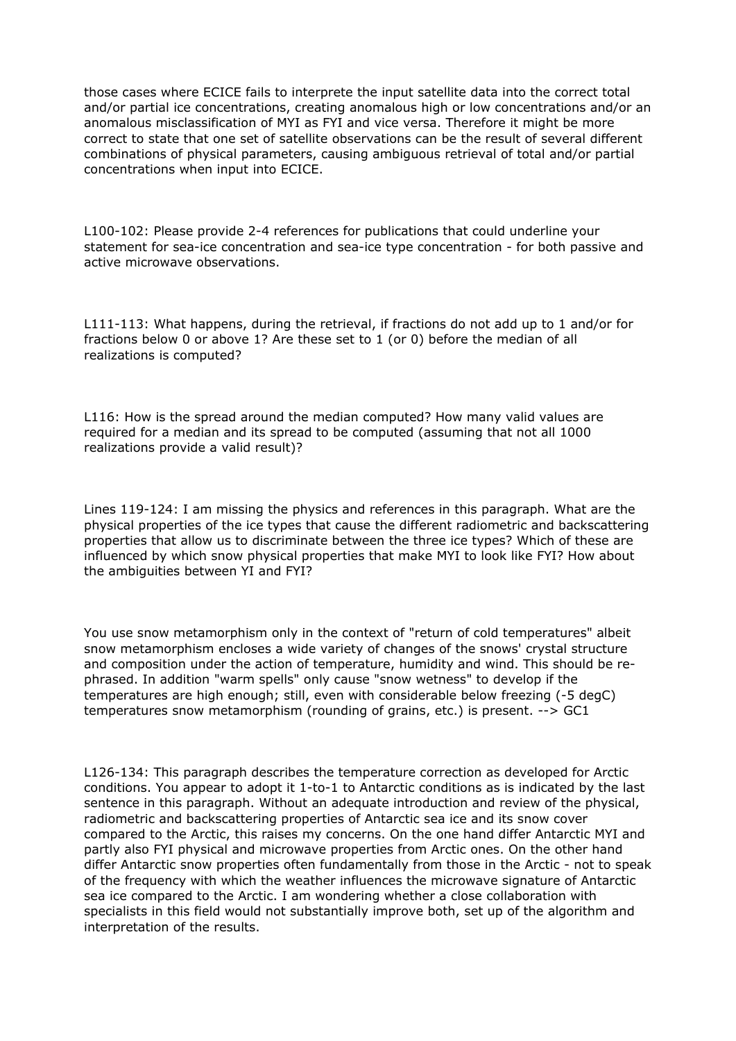those cases where ECICE fails to interprete the input satellite data into the correct total and/or partial ice concentrations, creating anomalous high or low concentrations and/or an anomalous misclassification of MYI as FYI and vice versa. Therefore it might be more correct to state that one set of satellite observations can be the result of several different combinations of physical parameters, causing ambiguous retrieval of total and/or partial concentrations when input into ECICE.

L100-102: Please provide 2-4 references for publications that could underline your statement for sea-ice concentration and sea-ice type concentration - for both passive and active microwave observations.

L111-113: What happens, during the retrieval, if fractions do not add up to 1 and/or for fractions below 0 or above 1? Are these set to 1 (or 0) before the median of all realizations is computed?

L116: How is the spread around the median computed? How many valid values are required for a median and its spread to be computed (assuming that not all 1000 realizations provide a valid result)?

Lines 119-124: I am missing the physics and references in this paragraph. What are the physical properties of the ice types that cause the different radiometric and backscattering properties that allow us to discriminate between the three ice types? Which of these are influenced by which snow physical properties that make MYI to look like FYI? How about the ambiguities between YI and FYI?

You use snow metamorphism only in the context of "return of cold temperatures" albeit snow metamorphism encloses a wide variety of changes of the snows' crystal structure and composition under the action of temperature, humidity and wind. This should be rephrased. In addition "warm spells" only cause "snow wetness" to develop if the temperatures are high enough; still, even with considerable below freezing (-5 degC) temperatures snow metamorphism (rounding of grains, etc.) is present. --> GC1

L126-134: This paragraph describes the temperature correction as developed for Arctic conditions. You appear to adopt it 1-to-1 to Antarctic conditions as is indicated by the last sentence in this paragraph. Without an adequate introduction and review of the physical, radiometric and backscattering properties of Antarctic sea ice and its snow cover compared to the Arctic, this raises my concerns. On the one hand differ Antarctic MYI and partly also FYI physical and microwave properties from Arctic ones. On the other hand differ Antarctic snow properties often fundamentally from those in the Arctic - not to speak of the frequency with which the weather influences the microwave signature of Antarctic sea ice compared to the Arctic. I am wondering whether a close collaboration with specialists in this field would not substantially improve both, set up of the algorithm and interpretation of the results.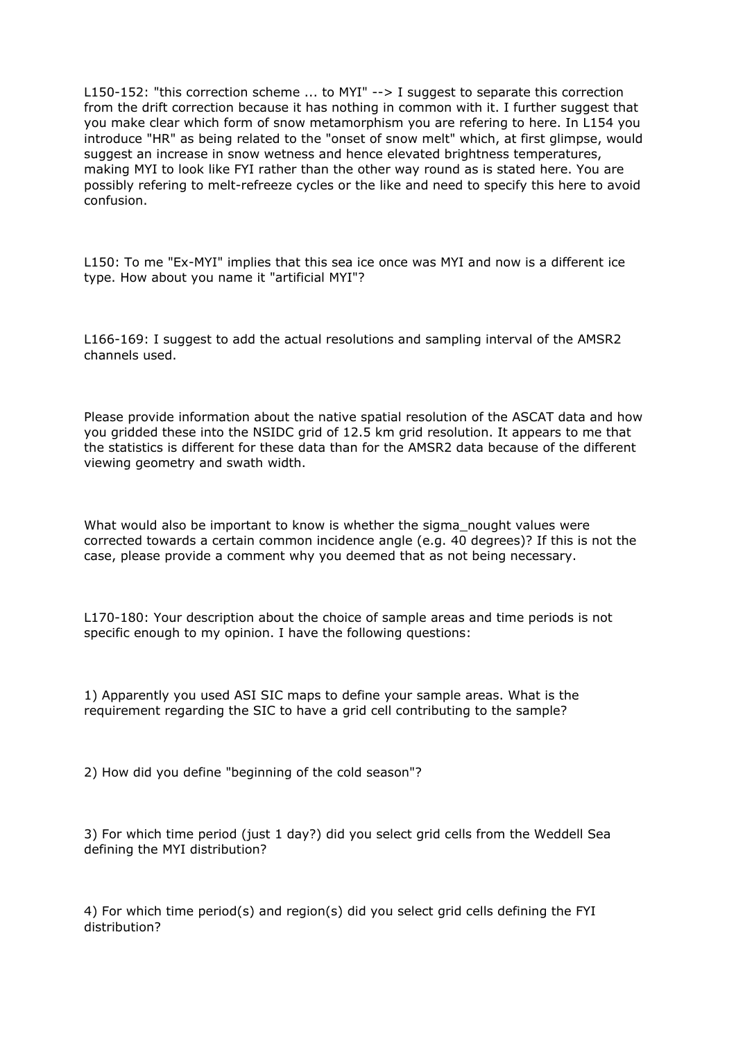L150-152: "this correction scheme ... to MYI" --> I suggest to separate this correction from the drift correction because it has nothing in common with it. I further suggest that you make clear which form of snow metamorphism you are refering to here. In L154 you introduce "HR" as being related to the "onset of snow melt" which, at first glimpse, would suggest an increase in snow wetness and hence elevated brightness temperatures, making MYI to look like FYI rather than the other way round as is stated here. You are possibly refering to melt-refreeze cycles or the like and need to specify this here to avoid confusion.

L150: To me "Ex-MYI" implies that this sea ice once was MYI and now is a different ice type. How about you name it "artificial MYI"?

L166-169: I suggest to add the actual resolutions and sampling interval of the AMSR2 channels used.

Please provide information about the native spatial resolution of the ASCAT data and how you gridded these into the NSIDC grid of 12.5 km grid resolution. It appears to me that the statistics is different for these data than for the AMSR2 data because of the different viewing geometry and swath width.

What would also be important to know is whether the sigma\_nought values were corrected towards a certain common incidence angle (e.g. 40 degrees)? If this is not the case, please provide a comment why you deemed that as not being necessary.

L170-180: Your description about the choice of sample areas and time periods is not specific enough to my opinion. I have the following questions:

1) Apparently you used ASI SIC maps to define your sample areas. What is the requirement regarding the SIC to have a grid cell contributing to the sample?

2) How did you define "beginning of the cold season"?

3) For which time period (just 1 day?) did you select grid cells from the Weddell Sea defining the MYI distribution?

4) For which time period(s) and region(s) did you select grid cells defining the FYI distribution?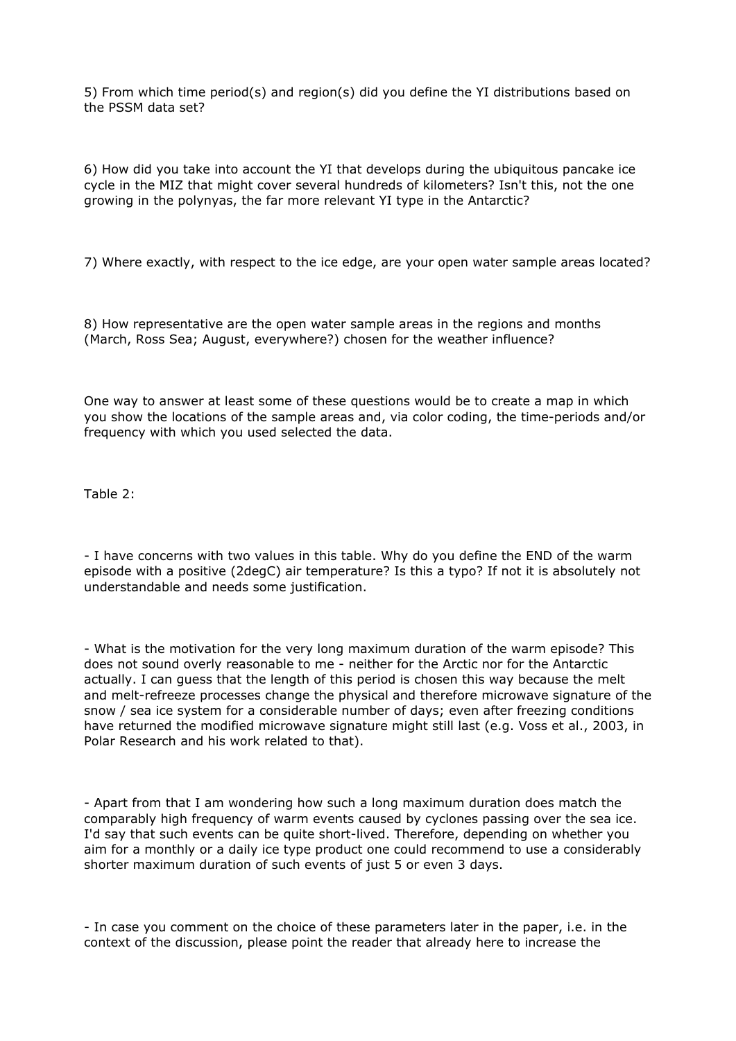5) From which time period(s) and region(s) did you define the YI distributions based on the PSSM data set?

6) How did you take into account the YI that develops during the ubiquitous pancake ice cycle in the MIZ that might cover several hundreds of kilometers? Isn't this, not the one growing in the polynyas, the far more relevant YI type in the Antarctic?

7) Where exactly, with respect to the ice edge, are your open water sample areas located?

8) How representative are the open water sample areas in the regions and months (March, Ross Sea; August, everywhere?) chosen for the weather influence?

One way to answer at least some of these questions would be to create a map in which you show the locations of the sample areas and, via color coding, the time-periods and/or frequency with which you used selected the data.

Table 2:

- I have concerns with two values in this table. Why do you define the END of the warm episode with a positive (2degC) air temperature? Is this a typo? If not it is absolutely not understandable and needs some justification.

- What is the motivation for the very long maximum duration of the warm episode? This does not sound overly reasonable to me - neither for the Arctic nor for the Antarctic actually. I can guess that the length of this period is chosen this way because the melt and melt-refreeze processes change the physical and therefore microwave signature of the snow / sea ice system for a considerable number of days; even after freezing conditions have returned the modified microwave signature might still last (e.g. Voss et al., 2003, in Polar Research and his work related to that).

- Apart from that I am wondering how such a long maximum duration does match the comparably high frequency of warm events caused by cyclones passing over the sea ice. I'd say that such events can be quite short-lived. Therefore, depending on whether you aim for a monthly or a daily ice type product one could recommend to use a considerably shorter maximum duration of such events of just 5 or even 3 days.

- In case you comment on the choice of these parameters later in the paper, i.e. in the context of the discussion, please point the reader that already here to increase the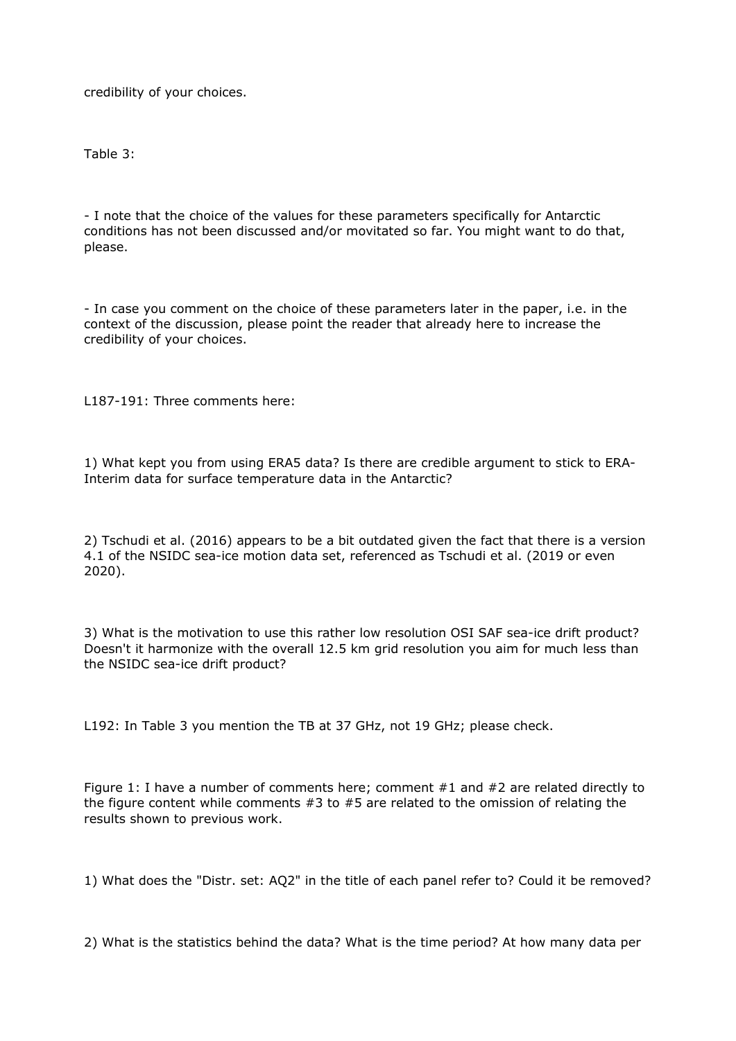credibility of your choices.

Table 3:

- I note that the choice of the values for these parameters specifically for Antarctic conditions has not been discussed and/or movitated so far. You might want to do that, please.

- In case you comment on the choice of these parameters later in the paper, i.e. in the context of the discussion, please point the reader that already here to increase the credibility of your choices.

L187-191: Three comments here:

1) What kept you from using ERA5 data? Is there are credible argument to stick to ERA-Interim data for surface temperature data in the Antarctic?

2) Tschudi et al. (2016) appears to be a bit outdated given the fact that there is a version 4.1 of the NSIDC sea-ice motion data set, referenced as Tschudi et al. (2019 or even 2020).

3) What is the motivation to use this rather low resolution OSI SAF sea-ice drift product? Doesn't it harmonize with the overall 12.5 km grid resolution you aim for much less than the NSIDC sea-ice drift product?

L192: In Table 3 you mention the TB at 37 GHz, not 19 GHz; please check.

Figure 1: I have a number of comments here; comment  $#1$  and  $#2$  are related directly to the figure content while comments  $#3$  to  $#5$  are related to the omission of relating the results shown to previous work.

1) What does the "Distr. set: AQ2" in the title of each panel refer to? Could it be removed?

2) What is the statistics behind the data? What is the time period? At how many data per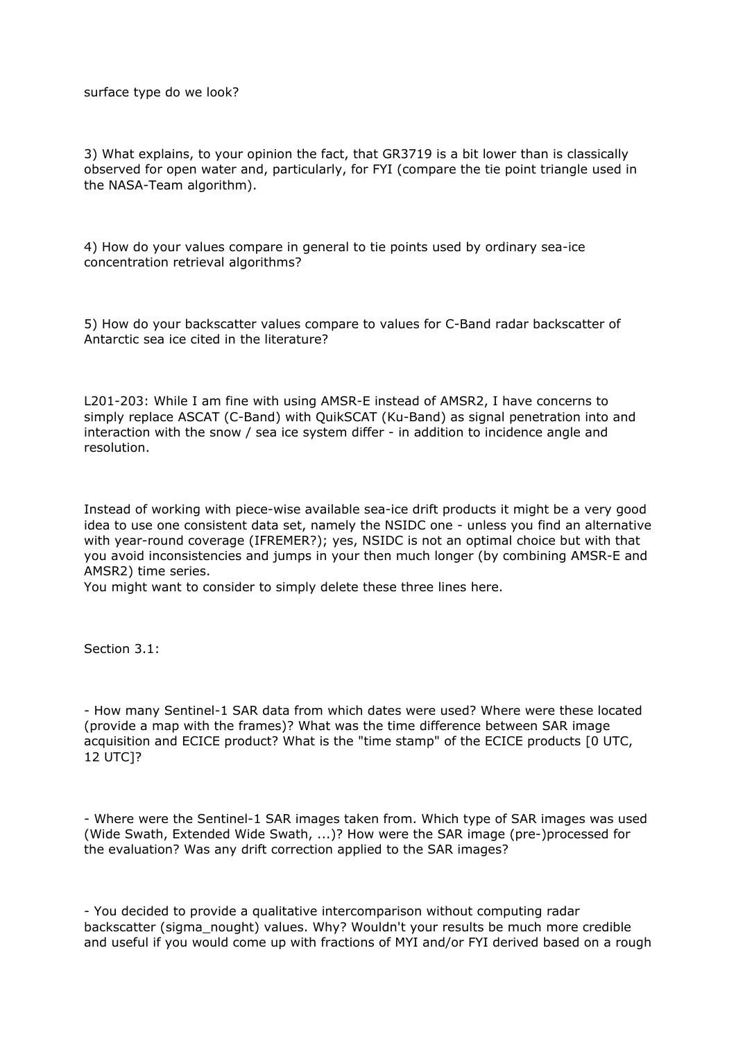surface type do we look?

3) What explains, to your opinion the fact, that GR3719 is a bit lower than is classically observed for open water and, particularly, for FYI (compare the tie point triangle used in the NASA-Team algorithm).

4) How do your values compare in general to tie points used by ordinary sea-ice concentration retrieval algorithms?

5) How do your backscatter values compare to values for C-Band radar backscatter of Antarctic sea ice cited in the literature?

L201-203: While I am fine with using AMSR-E instead of AMSR2, I have concerns to simply replace ASCAT (C-Band) with QuikSCAT (Ku-Band) as signal penetration into and interaction with the snow / sea ice system differ - in addition to incidence angle and resolution.

Instead of working with piece-wise available sea-ice drift products it might be a very good idea to use one consistent data set, namely the NSIDC one - unless you find an alternative with year-round coverage (IFREMER?); yes, NSIDC is not an optimal choice but with that you avoid inconsistencies and jumps in your then much longer (by combining AMSR-E and AMSR2) time series.

You might want to consider to simply delete these three lines here.

Section 3.1:

- How many Sentinel-1 SAR data from which dates were used? Where were these located (provide a map with the frames)? What was the time difference between SAR image acquisition and ECICE product? What is the "time stamp" of the ECICE products [0 UTC, 12 UTC]?

- Where were the Sentinel-1 SAR images taken from. Which type of SAR images was used (Wide Swath, Extended Wide Swath, ...)? How were the SAR image (pre-)processed for the evaluation? Was any drift correction applied to the SAR images?

- You decided to provide a qualitative intercomparison without computing radar backscatter (sigma\_nought) values. Why? Wouldn't your results be much more credible and useful if you would come up with fractions of MYI and/or FYI derived based on a rough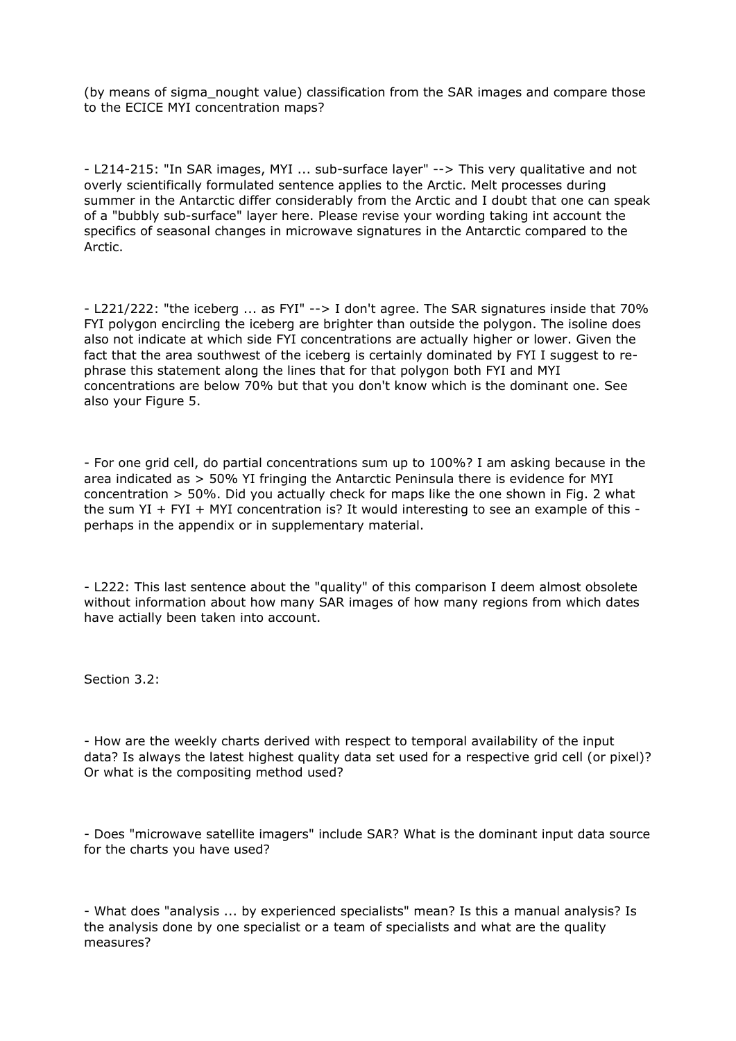(by means of sigma\_nought value) classification from the SAR images and compare those to the ECICE MYI concentration maps?

- L214-215: "In SAR images, MYI ... sub-surface layer" --> This very qualitative and not overly scientifically formulated sentence applies to the Arctic. Melt processes during summer in the Antarctic differ considerably from the Arctic and I doubt that one can speak of a "bubbly sub-surface" layer here. Please revise your wording taking int account the specifics of seasonal changes in microwave signatures in the Antarctic compared to the Arctic.

- L221/222: "the iceberg ... as FYI" --> I don't agree. The SAR signatures inside that 70% FYI polygon encircling the iceberg are brighter than outside the polygon. The isoline does also not indicate at which side FYI concentrations are actually higher or lower. Given the fact that the area southwest of the iceberg is certainly dominated by FYI I suggest to rephrase this statement along the lines that for that polygon both FYI and MYI concentrations are below 70% but that you don't know which is the dominant one. See also your Figure 5.

- For one grid cell, do partial concentrations sum up to 100%? I am asking because in the area indicated as > 50% YI fringing the Antarctic Peninsula there is evidence for MYI concentration > 50%. Did you actually check for maps like the one shown in Fig. 2 what the sum YI + FYI + MYI concentration is? It would interesting to see an example of this perhaps in the appendix or in supplementary material.

- L222: This last sentence about the "quality" of this comparison I deem almost obsolete without information about how many SAR images of how many regions from which dates have actially been taken into account.

Section 3.2:

- How are the weekly charts derived with respect to temporal availability of the input data? Is always the latest highest quality data set used for a respective grid cell (or pixel)? Or what is the compositing method used?

- Does "microwave satellite imagers" include SAR? What is the dominant input data source for the charts you have used?

- What does "analysis ... by experienced specialists" mean? Is this a manual analysis? Is the analysis done by one specialist or a team of specialists and what are the quality measures?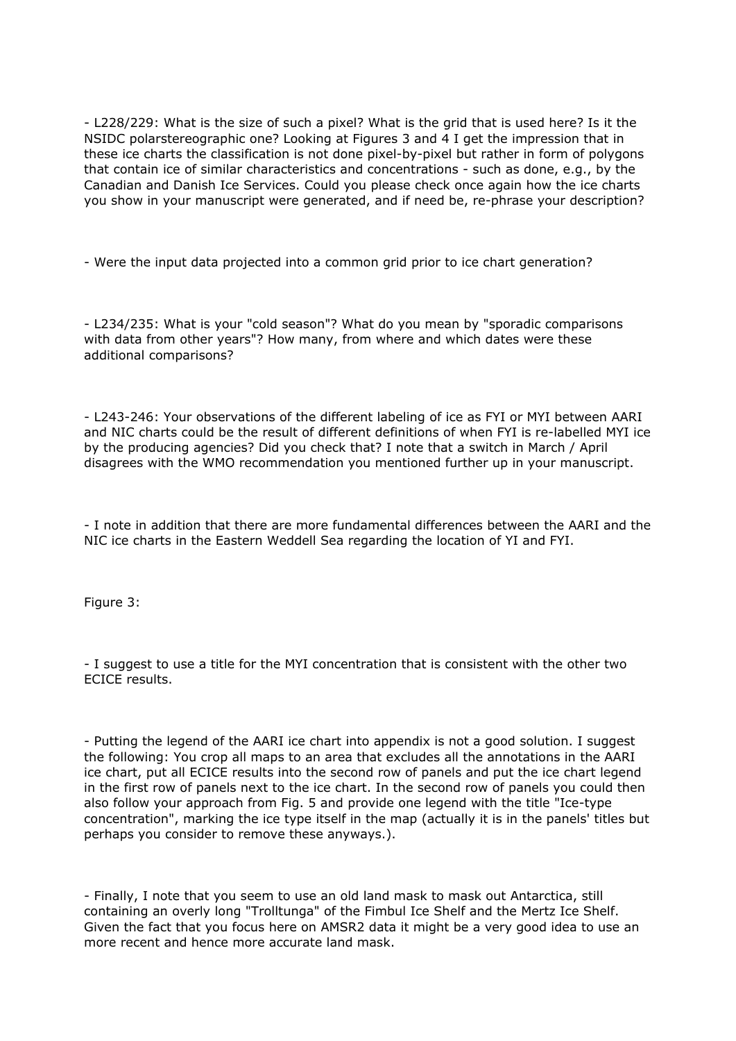- L228/229: What is the size of such a pixel? What is the grid that is used here? Is it the NSIDC polarstereographic one? Looking at Figures 3 and 4 I get the impression that in these ice charts the classification is not done pixel-by-pixel but rather in form of polygons that contain ice of similar characteristics and concentrations - such as done, e.g., by the Canadian and Danish Ice Services. Could you please check once again how the ice charts you show in your manuscript were generated, and if need be, re-phrase your description?

- Were the input data projected into a common grid prior to ice chart generation?

- L234/235: What is your "cold season"? What do you mean by "sporadic comparisons with data from other years"? How many, from where and which dates were these additional comparisons?

- L243-246: Your observations of the different labeling of ice as FYI or MYI between AARI and NIC charts could be the result of different definitions of when FYI is re-labelled MYI ice by the producing agencies? Did you check that? I note that a switch in March / April disagrees with the WMO recommendation you mentioned further up in your manuscript.

- I note in addition that there are more fundamental differences between the AARI and the NIC ice charts in the Eastern Weddell Sea regarding the location of YI and FYI.

Figure 3:

- I suggest to use a title for the MYI concentration that is consistent with the other two ECICE results.

- Putting the legend of the AARI ice chart into appendix is not a good solution. I suggest the following: You crop all maps to an area that excludes all the annotations in the AARI ice chart, put all ECICE results into the second row of panels and put the ice chart legend in the first row of panels next to the ice chart. In the second row of panels you could then also follow your approach from Fig. 5 and provide one legend with the title "Ice-type concentration", marking the ice type itself in the map (actually it is in the panels' titles but perhaps you consider to remove these anyways.).

- Finally, I note that you seem to use an old land mask to mask out Antarctica, still containing an overly long "Trolltunga" of the Fimbul Ice Shelf and the Mertz Ice Shelf. Given the fact that you focus here on AMSR2 data it might be a very good idea to use an more recent and hence more accurate land mask.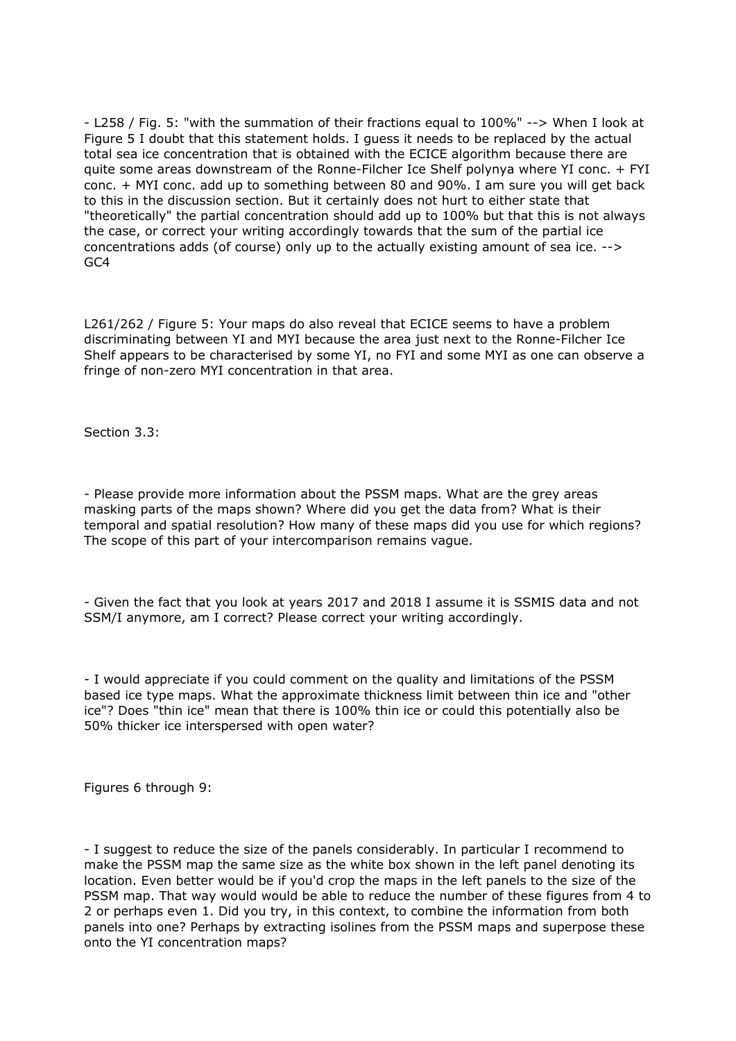- L258 / Fig. 5: "with the summation of their fractions equal to 100%" --> When I look at Figure 5 I doubt that this statement holds. I guess it needs to be replaced by the actual total sea ice concentration that is obtained with the ECICE algorithm because there are quite some areas downstream of the Ronne-Filcher Ice Shelf polynya where YI conc. + FYI conc. + MYI conc. add up to something between 80 and 90%. I am sure you will get back to this in the discussion section. But it certainly does not hurt to either state that "theoretically" the partial concentration should add up to 100% but that this is not always the case, or correct your writing accordingly towards that the sum of the partial ice concentrations adds (of course) only up to the actually existing amount of sea ice. --> GC4

L261/262 / Figure 5: Your maps do also reveal that ECICE seems to have a problem discriminating between YI and MYI because the area just next to the Ronne-Filcher Ice Shelf appears to be characterised by some YI, no FYI and some MYI as one can observe a fringe of non-zero MYI concentration in that area.

Section 3.3:

- Please provide more information about the PSSM maps. What are the grey areas masking parts of the maps shown? Where did you get the data from? What is their temporal and spatial resolution? How many of these maps did you use for which regions? The scope of this part of your intercomparison remains vague.

- Given the fact that you look at years 2017 and 2018 I assume it is SSMIS data and not SSM/I anymore, am I correct? Please correct your writing accordingly.

- I would appreciate if you could comment on the quality and limitations of the PSSM based ice type maps. What the approximate thickness limit between thin ice and "other ice"? Does "thin ice" mean that there is 100% thin ice or could this potentially also be 50% thicker ice interspersed with open water?

Figures 6 through 9:

- I suggest to reduce the size of the panels considerably. In particular I recommend to make the PSSM map the same size as the white box shown in the left panel denoting its location. Even better would be if you'd crop the maps in the left panels to the size of the PSSM map. That way would would be able to reduce the number of these figures from 4 to 2 or perhaps even 1. Did you try, in this context, to combine the information from both panels into one? Perhaps by extracting isolines from the PSSM maps and superpose these onto the YI concentration maps?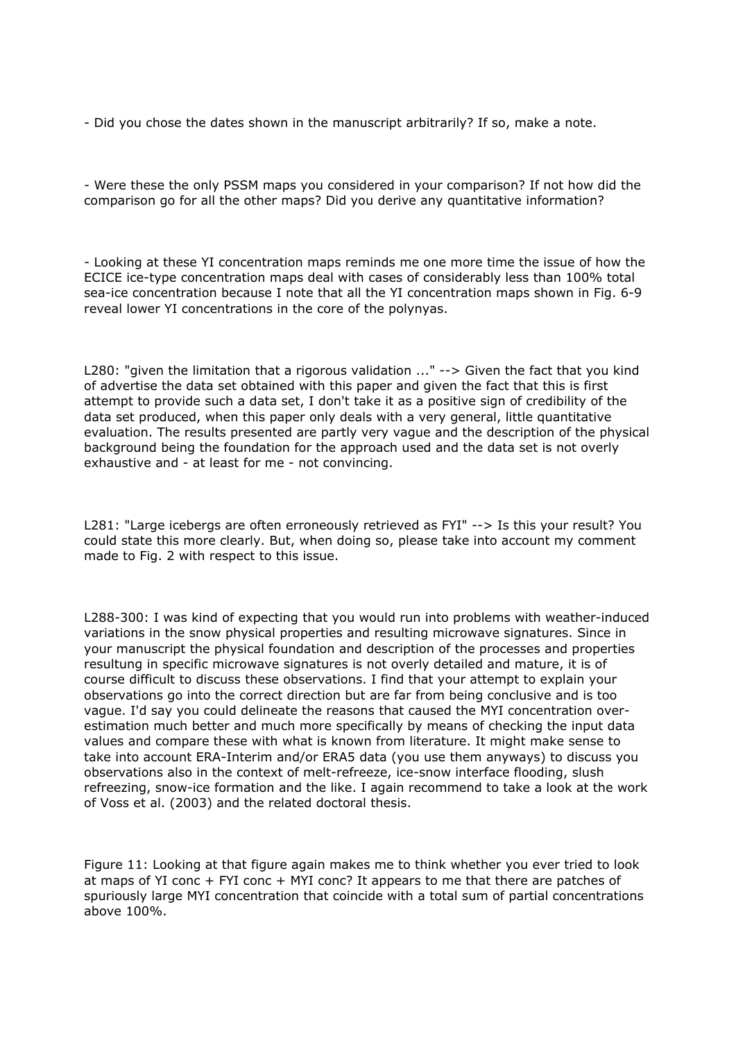- Did you chose the dates shown in the manuscript arbitrarily? If so, make a note.

- Were these the only PSSM maps you considered in your comparison? If not how did the comparison go for all the other maps? Did you derive any quantitative information?

- Looking at these YI concentration maps reminds me one more time the issue of how the ECICE ice-type concentration maps deal with cases of considerably less than 100% total sea-ice concentration because I note that all the YI concentration maps shown in Fig. 6-9 reveal lower YI concentrations in the core of the polynyas.

L280: "given the limitation that a rigorous validation ..." --> Given the fact that you kind of advertise the data set obtained with this paper and given the fact that this is first attempt to provide such a data set, I don't take it as a positive sign of credibility of the data set produced, when this paper only deals with a very general, little quantitative evaluation. The results presented are partly very vague and the description of the physical background being the foundation for the approach used and the data set is not overly exhaustive and - at least for me - not convincing.

L281: "Large icebergs are often erroneously retrieved as FYI" --> Is this your result? You could state this more clearly. But, when doing so, please take into account my comment made to Fig. 2 with respect to this issue.

L288-300: I was kind of expecting that you would run into problems with weather-induced variations in the snow physical properties and resulting microwave signatures. Since in your manuscript the physical foundation and description of the processes and properties resultung in specific microwave signatures is not overly detailed and mature, it is of course difficult to discuss these observations. I find that your attempt to explain your observations go into the correct direction but are far from being conclusive and is too vague. I'd say you could delineate the reasons that caused the MYI concentration overestimation much better and much more specifically by means of checking the input data values and compare these with what is known from literature. It might make sense to take into account ERA-Interim and/or ERA5 data (you use them anyways) to discuss you observations also in the context of melt-refreeze, ice-snow interface flooding, slush refreezing, snow-ice formation and the like. I again recommend to take a look at the work of Voss et al. (2003) and the related doctoral thesis.

Figure 11: Looking at that figure again makes me to think whether you ever tried to look at maps of YI conc + FYI conc + MYI conc? It appears to me that there are patches of spuriously large MYI concentration that coincide with a total sum of partial concentrations above 100%.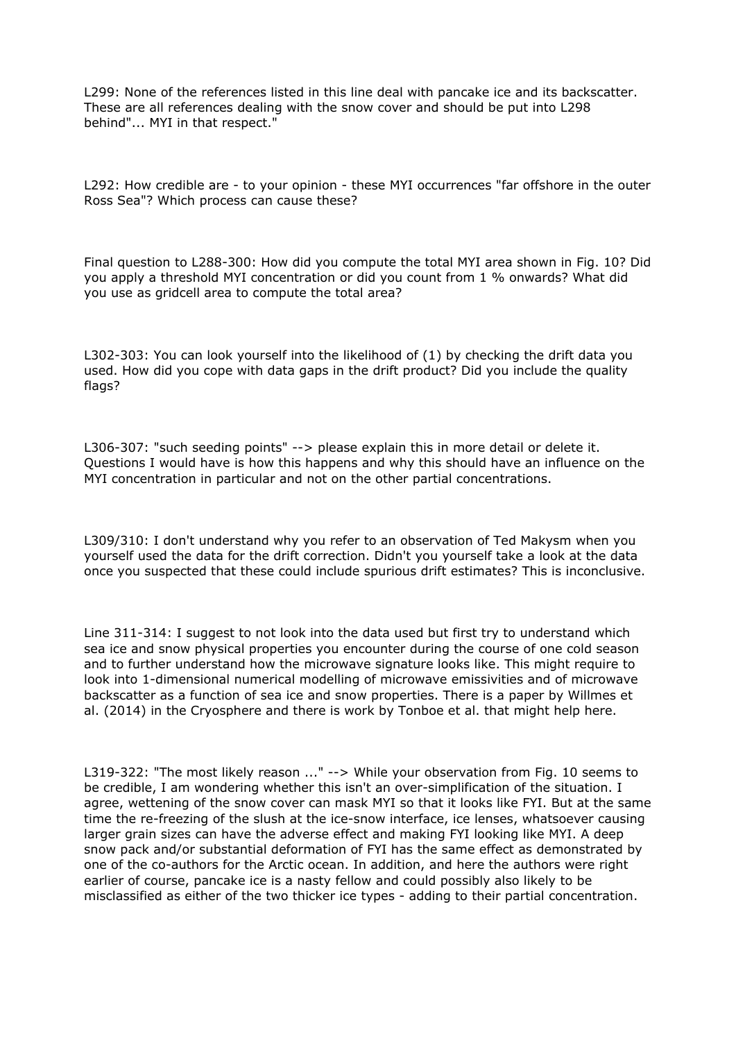L299: None of the references listed in this line deal with pancake ice and its backscatter. These are all references dealing with the snow cover and should be put into L298 behind"... MYI in that respect."

L292: How credible are - to your opinion - these MYI occurrences "far offshore in the outer Ross Sea"? Which process can cause these?

Final question to L288-300: How did you compute the total MYI area shown in Fig. 10? Did you apply a threshold MYI concentration or did you count from 1 % onwards? What did you use as gridcell area to compute the total area?

L302-303: You can look yourself into the likelihood of (1) by checking the drift data you used. How did you cope with data gaps in the drift product? Did you include the quality flags?

L306-307: "such seeding points" --> please explain this in more detail or delete it. Questions I would have is how this happens and why this should have an influence on the MYI concentration in particular and not on the other partial concentrations.

L309/310: I don't understand why you refer to an observation of Ted Makysm when you yourself used the data for the drift correction. Didn't you yourself take a look at the data once you suspected that these could include spurious drift estimates? This is inconclusive.

Line 311-314: I suggest to not look into the data used but first try to understand which sea ice and snow physical properties you encounter during the course of one cold season and to further understand how the microwave signature looks like. This might require to look into 1-dimensional numerical modelling of microwave emissivities and of microwave backscatter as a function of sea ice and snow properties. There is a paper by Willmes et al. (2014) in the Cryosphere and there is work by Tonboe et al. that might help here.

L319-322: "The most likely reason ..." --> While your observation from Fig. 10 seems to be credible, I am wondering whether this isn't an over-simplification of the situation. I agree, wettening of the snow cover can mask MYI so that it looks like FYI. But at the same time the re-freezing of the slush at the ice-snow interface, ice lenses, whatsoever causing larger grain sizes can have the adverse effect and making FYI looking like MYI. A deep snow pack and/or substantial deformation of FYI has the same effect as demonstrated by one of the co-authors for the Arctic ocean. In addition, and here the authors were right earlier of course, pancake ice is a nasty fellow and could possibly also likely to be misclassified as either of the two thicker ice types - adding to their partial concentration.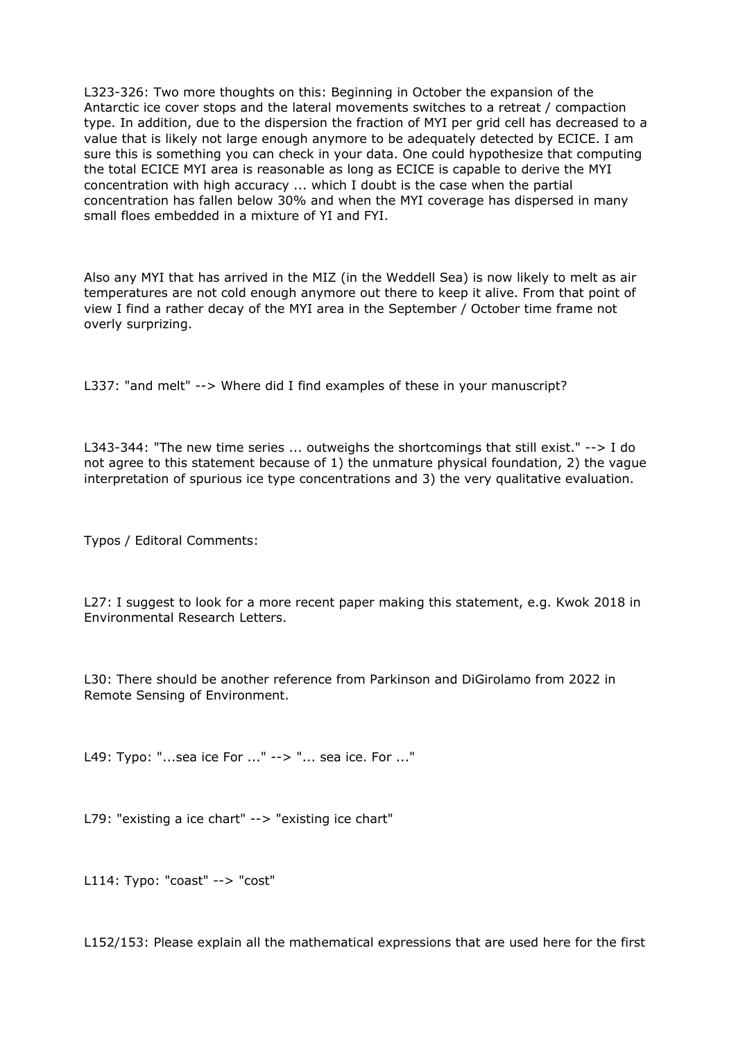L323-326: Two more thoughts on this: Beginning in October the expansion of the Antarctic ice cover stops and the lateral movements switches to a retreat / compaction type. In addition, due to the dispersion the fraction of MYI per grid cell has decreased to a value that is likely not large enough anymore to be adequately detected by ECICE. I am sure this is something you can check in your data. One could hypothesize that computing the total ECICE MYI area is reasonable as long as ECICE is capable to derive the MYI concentration with high accuracy ... which I doubt is the case when the partial concentration has fallen below 30% and when the MYI coverage has dispersed in many small floes embedded in a mixture of YI and FYI.

Also any MYI that has arrived in the MIZ (in the Weddell Sea) is now likely to melt as air temperatures are not cold enough anymore out there to keep it alive. From that point of view I find a rather decay of the MYI area in the September / October time frame not overly surprizing.

L337: "and melt" --> Where did I find examples of these in your manuscript?

L343-344: "The new time series ... outweighs the shortcomings that still exist." --> I do not agree to this statement because of 1) the unmature physical foundation, 2) the vague interpretation of spurious ice type concentrations and 3) the very qualitative evaluation.

Typos / Editoral Comments:

L27: I suggest to look for a more recent paper making this statement, e.g. Kwok 2018 in Environmental Research Letters.

L30: There should be another reference from Parkinson and DiGirolamo from 2022 in Remote Sensing of Environment.

L49: Typo: "...sea ice For ..." --> "... sea ice. For ..."

L79: "existing a ice chart" --> "existing ice chart"

L114: Typo: "coast" --> "cost"

L152/153: Please explain all the mathematical expressions that are used here for the first